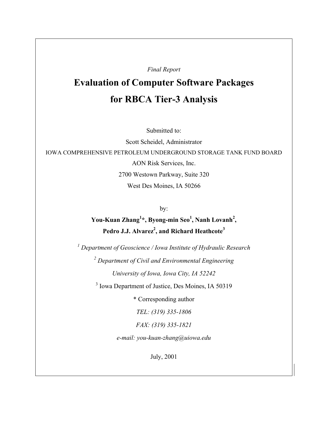*Final Report*

# **Evaluation of Computer Software Packages for RBCA Tier-3 Analysis**

Submitted to:

Scott Scheidel, Administrator IOWA COMPREHENSIVE PETROLEUM UNDERGROUND STORAGE TANK FUND BOARD AON Risk Services, Inc. 2700 Westown Parkway, Suite 320 West Des Moines, IA 50266

by:

**You-Kuan Zhang<sup>1</sup> \*, Byong-min Seo<sup>1</sup> , Nanh Lovanh<sup>2</sup> , Pedro J.J. Alvarez2 , and Richard Heathcote<sup>3</sup>**

*1 Department of Geoscience / Iowa Institute of Hydraulic Research*

*2 Department of Civil and Environmental Engineering*

*University of Iowa, Iowa City, IA 52242*

<sup>3</sup> Iowa Department of Justice, Des Moines, IA 50319

\* Corresponding author

*TEL: (319) 335-1806*

*FAX: (319) 335-1821*

*e-mail: you-kuan-zhang@uiowa.edu*

July, 2001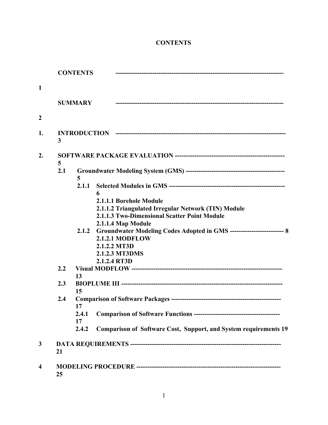# **CONTENTS**

|                  |     | <b>CONTENTS</b>                                                                                                                                                              |
|------------------|-----|------------------------------------------------------------------------------------------------------------------------------------------------------------------------------|
| $\mathbf{1}$     |     |                                                                                                                                                                              |
|                  |     | <b>SUMMARY</b>                                                                                                                                                               |
| $\boldsymbol{2}$ |     |                                                                                                                                                                              |
| 1.               | 3   |                                                                                                                                                                              |
| $\overline{2}$ . | 5   |                                                                                                                                                                              |
|                  | 2.1 | 5                                                                                                                                                                            |
|                  |     | 2.1.1<br>6                                                                                                                                                                   |
|                  |     | 2.1.1.1 Borehole Module<br>2.1.1.2 Triangulated Irregular Network (TIN) Module<br>2.1.1.3 Two-Dimensional Scatter Point Module                                               |
|                  |     | 2.1.1.4 Map Module<br>Groundwater Modeling Codes Adopted in GMS ---------------------------- 8<br>2.1.2<br>2.1.2.1 MODFLOW<br>2.1.2.2 MT3D<br>2.1.2.3 MT3DMS<br>2.1.2.4 RT3D |
|                  | 2.2 | 13                                                                                                                                                                           |
|                  | 2.3 | 15                                                                                                                                                                           |
|                  | 2.4 | 17<br>2.4.1<br>17<br>2.4.2<br><b>Comparison of Software Cost, Support, and System requirements 19</b>                                                                        |
| 3                | 21  |                                                                                                                                                                              |
| $\boldsymbol{4}$ | 25  |                                                                                                                                                                              |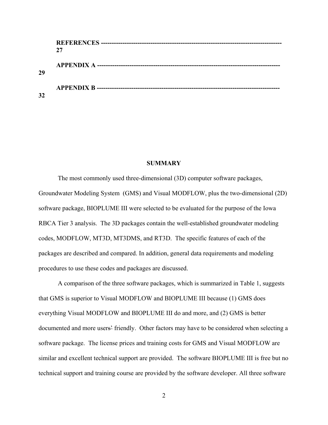|    | 27 |
|----|----|
| 29 |    |
| 32 |    |

#### **SUMMARY**

The most commonly used three-dimensional (3D) computer software packages, Groundwater Modeling System (GMS) and Visual MODFLOW, plus the two-dimensional (2D) software package, BIOPLUME III were selected to be evaluated for the purpose of the Iowa RBCA Tier 3 analysis. The 3D packages contain the well-established groundwater modeling codes, MODFLOW, MT3D, MT3DMS, and RT3D. The specific features of each of the packages are described and compared. In addition, general data requirements and modeling procedures to use these codes and packages are discussed.

A comparison of the three software packages, which is summarized in Table 1, suggests that GMS is superior to Visual MODFLOW and BIOPLUME III because (1) GMS does everything Visual MODFLOW and BIOPLUME III do and more, and (2) GMS is better documented and more users' friendly. Other factors may have to be considered when selecting a software package. The license prices and training costs for GMS and Visual MODFLOW are similar and excellent technical support are provided. The software BIOPLUME III is free but no technical support and training course are provided by the software developer. All three software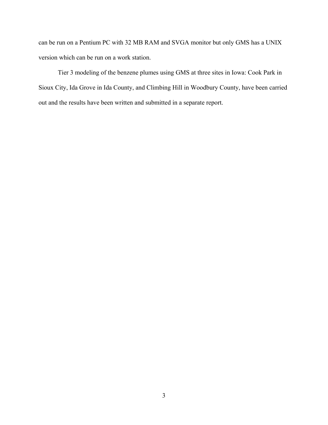can be run on a Pentium PC with 32 MB RAM and SVGA monitor but only GMS has a UNIX version which can be run on a work station.

Tier 3 modeling of the benzene plumes using GMS at three sites in Iowa: Cook Park in Sioux City, Ida Grove in Ida County, and Climbing Hill in Woodbury County, have been carried out and the results have been written and submitted in a separate report.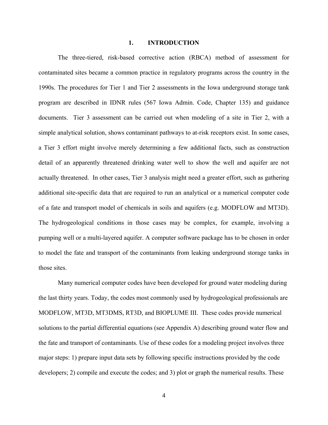#### **1. INTRODUCTION**

The three-tiered, risk-based corrective action (RBCA) method of assessment for contaminated sites became a common practice in regulatory programs across the country in the 1990s. The procedures for Tier 1 and Tier 2 assessments in the Iowa underground storage tank program are described in IDNR rules (567 Iowa Admin. Code, Chapter 135) and guidance documents. Tier 3 assessment can be carried out when modeling of a site in Tier 2, with a simple analytical solution, shows contaminant pathways to at-risk receptors exist. In some cases, a Tier 3 effort might involve merely determining a few additional facts, such as construction detail of an apparently threatened drinking water well to show the well and aquifer are not actually threatened. In other cases, Tier 3 analysis might need a greater effort, such as gathering additional site-specific data that are required to run an analytical or a numerical computer code of a fate and transport model of chemicals in soils and aquifers (e.g. MODFLOW and MT3D). The hydrogeological conditions in those cases may be complex, for example, involving a pumping well or a multi-layered aquifer. A computer software package has to be chosen in order to model the fate and transport of the contaminants from leaking underground storage tanks in those sites.

Many numerical computer codes have been developed for ground water modeling during the last thirty years. Today, the codes most commonly used by hydrogeological professionals are MODFLOW, MT3D, MT3DMS, RT3D, and BIOPLUME III. These codes provide numerical solutions to the partial differential equations (see Appendix A) describing ground water flow and the fate and transport of contaminants. Use of these codes for a modeling project involves three major steps: 1) prepare input data sets by following specific instructions provided by the code developers; 2) compile and execute the codes; and 3) plot or graph the numerical results. These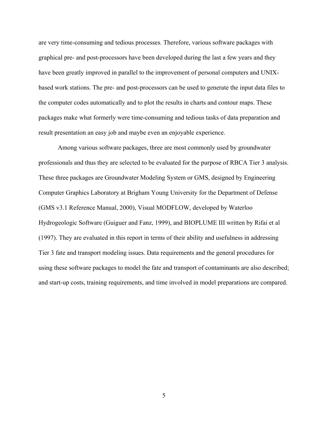are very time-consuming and tedious processes. Therefore, various software packages with graphical pre- and post-processors have been developed during the last a few years and they have been greatly improved in parallel to the improvement of personal computers and UNIXbased work stations. The pre- and post-processors can be used to generate the input data files to the computer codes automatically and to plot the results in charts and contour maps. These packages make what formerly were time-consuming and tedious tasks of data preparation and result presentation an easy job and maybe even an enjoyable experience.

Among various software packages, three are most commonly used by groundwater professionals and thus they are selected to be evaluated for the purpose of RBCA Tier 3 analysis. These three packages are Groundwater Modeling System or GMS, designed by Engineering Computer Graphics Laboratory at Brigham Young University for the Department of Defense (GMS v3.1 Reference Manual, 2000), Visual MODFLOW, developed by Waterloo Hydrogeologic Software (Guiguer and Fanz, 1999), and BIOPLUME III written by Rifai et al (1997). They are evaluated in this report in terms of their ability and usefulness in addressing Tier 3 fate and transport modeling issues. Data requirements and the general procedures for using these software packages to model the fate and transport of contaminants are also described; and start-up costs, training requirements, and time involved in model preparations are compared.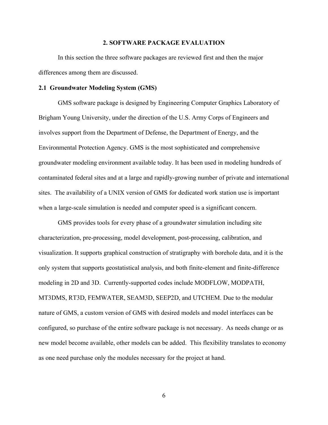#### **2. SOFTWARE PACKAGE EVALUATION**

In this section the three software packages are reviewed first and then the major differences among them are discussed.

#### **2.1 Groundwater Modeling System (GMS)**

GMS software package is designed by Engineering Computer Graphics Laboratory of Brigham Young University, under the direction of the U.S. Army Corps of Engineers and involves support from the Department of Defense, the Department of Energy, and the Environmental Protection Agency. GMS is the most sophisticated and comprehensive groundwater modeling environment available today. It has been used in modeling hundreds of contaminated federal sites and at a large and rapidly-growing number of private and international sites. The availability of a UNIX version of GMS for dedicated work station use is important when a large-scale simulation is needed and computer speed is a significant concern.

GMS provides tools for every phase of a groundwater simulation including site characterization, pre-processing, model development, post-processing, calibration, and visualization. It supports graphical construction of stratigraphy with borehole data, and it is the only system that supports geostatistical analysis, and both finite-element and finite-difference modeling in 2D and 3D. Currently-supported codes include MODFLOW, MODPATH, MT3DMS, RT3D, FEMWATER, SEAM3D, SEEP2D, and UTCHEM. Due to the modular nature of GMS, a custom version of GMS with desired models and model interfaces can be configured, so purchase of the entire software package is not necessary. As needs change or as new model become available, other models can be added. This flexibility translates to economy as one need purchase only the modules necessary for the project at hand.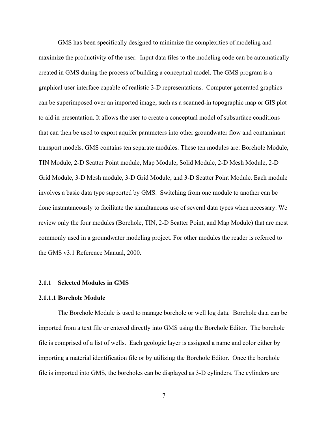GMS has been specifically designed to minimize the complexities of modeling and maximize the productivity of the user. Input data files to the modeling code can be automatically created in GMS during the process of building a conceptual model. The GMS program is a graphical user interface capable of realistic 3-D representations. Computer generated graphics can be superimposed over an imported image, such as a scanned-in topographic map or GIS plot to aid in presentation. It allows the user to create a conceptual model of subsurface conditions that can then be used to export aquifer parameters into other groundwater flow and contaminant transport models. GMS contains ten separate modules. These ten modules are: Borehole Module, TIN Module, 2-D Scatter Point module, Map Module, Solid Module, 2-D Mesh Module, 2-D Grid Module, 3-D Mesh module, 3-D Grid Module, and 3-D Scatter Point Module. Each module involves a basic data type supported by GMS. Switching from one module to another can be done instantaneously to facilitate the simultaneous use of several data types when necessary. We review only the four modules (Borehole, TIN, 2-D Scatter Point, and Map Module) that are most commonly used in a groundwater modeling project. For other modules the reader is referred to the GMS v3.1 Reference Manual, 2000.

#### **2.1.1 Selected Modules in GMS**

#### **2.1.1.1 Borehole Module**

The Borehole Module is used to manage borehole or well log data. Borehole data can be imported from a text file or entered directly into GMS using the Borehole Editor. The borehole file is comprised of a list of wells. Each geologic layer is assigned a name and color either by importing a material identification file or by utilizing the Borehole Editor. Once the borehole file is imported into GMS, the boreholes can be displayed as 3-D cylinders. The cylinders are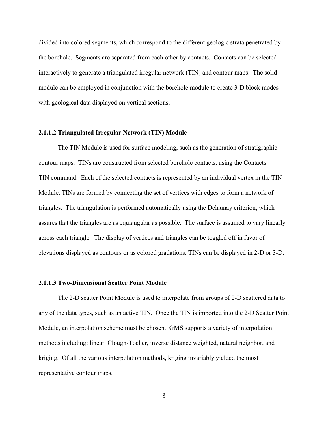divided into colored segments, which correspond to the different geologic strata penetrated by the borehole. Segments are separated from each other by contacts. Contacts can be selected interactively to generate a triangulated irregular network (TIN) and contour maps. The solid module can be employed in conjunction with the borehole module to create 3-D block modes with geological data displayed on vertical sections.

#### **2.1.1.2 Triangulated Irregular Network (TIN) Module**

The TIN Module is used for surface modeling, such as the generation of stratigraphic contour maps. TINs are constructed from selected borehole contacts, using the Contacts TIN command. Each of the selected contacts is represented by an individual vertex in the TIN Module. TINs are formed by connecting the set of vertices with edges to form a network of triangles. The triangulation is performed automatically using the Delaunay criterion, which assures that the triangles are as equiangular as possible. The surface is assumed to vary linearly across each triangle. The display of vertices and triangles can be toggled off in favor of elevations displayed as contours or as colored gradations. TINs can be displayed in 2-D or 3-D.

#### **2.1.1.3 Two-Dimensional Scatter Point Module**

The 2-D scatter Point Module is used to interpolate from groups of 2-D scattered data to any of the data types, such as an active TIN. Once the TIN is imported into the 2-D Scatter Point Module, an interpolation scheme must be chosen. GMS supports a variety of interpolation methods including: linear, Clough-Tocher, inverse distance weighted, natural neighbor, and kriging. Of all the various interpolation methods, kriging invariably yielded the most representative contour maps.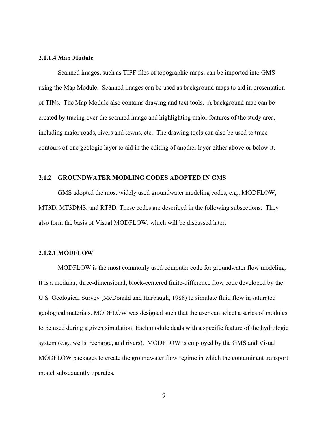#### **2.1.1.4 Map Module**

Scanned images, such as TIFF files of topographic maps, can be imported into GMS using the Map Module. Scanned images can be used as background maps to aid in presentation of TINs. The Map Module also contains drawing and text tools. A background map can be created by tracing over the scanned image and highlighting major features of the study area, including major roads, rivers and towns, etc. The drawing tools can also be used to trace contours of one geologic layer to aid in the editing of another layer either above or below it.

### **2.1.2 GROUNDWATER MODLING CODES ADOPTED IN GMS**

GMS adopted the most widely used groundwater modeling codes, e.g., MODFLOW, MT3D, MT3DMS, and RT3D. These codes are described in the following subsections. They also form the basis of Visual MODFLOW, which will be discussed later.

#### **2.1.2.1 MODFLOW**

MODFLOW is the most commonly used computer code for groundwater flow modeling. It is a modular, three-dimensional, block-centered finite-difference flow code developed by the U.S. Geological Survey (McDonald and Harbaugh, 1988) to simulate fluid flow in saturated geological materials. MODFLOW was designed such that the user can select a series of modules to be used during a given simulation. Each module deals with a specific feature of the hydrologic system (e.g., wells, recharge, and rivers). MODFLOW is employed by the GMS and Visual MODFLOW packages to create the groundwater flow regime in which the contaminant transport model subsequently operates.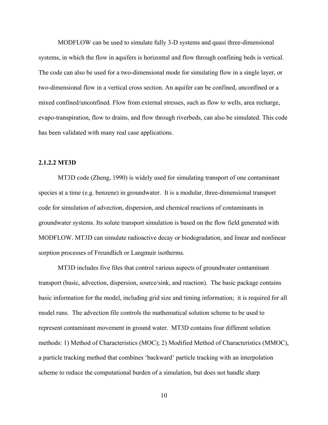MODFLOW can be used to simulate fully 3-D systems and quasi three-dimensional systems, in which the flow in aquifers is horizontal and flow through confining beds is vertical. The code can also be used for a two-dimensional mode for simulating flow in a single layer, or two-dimensional flow in a vertical cross section. An aquifer can be confined, unconfined or a mixed confined/unconfined. Flow from external stresses, such as flow to wells, area recharge, evapo-transpiration, flow to drains, and flow through riverbeds, can also be simulated. This code has been validated with many real case applications.

#### **2.1.2.2 MT3D**

MT3D code (Zheng, 1990) is widely used for simulating transport of one contaminant species at a time (e.g. benzene) in groundwater. It is a modular, three-dimensional transport code for simulation of advection, dispersion, and chemical reactions of contaminants in groundwater systems. Its solute transport simulation is based on the flow field generated with MODFLOW. MT3D can simulate radioactive decay or biodegradation, and linear and nonlinear sorption processes of Freundlich or Langmuir isotherms.

MT3D includes five files that control various aspects of groundwater contaminant transport (basic, advection, dispersion, source/sink, and reaction). The basic package contains basic information for the model, including grid size and timing information; it is required for all model runs. The advection file controls the mathematical solution scheme to be used to represent contaminant movement in ground water. MT3D contains four different solution methods: 1) Method of Characteristics (MOC); 2) Modified Method of Characteristics (MMOC), a particle tracking method that combines 'backward' particle tracking with an interpolation scheme to reduce the computational burden of a simulation, but does not handle sharp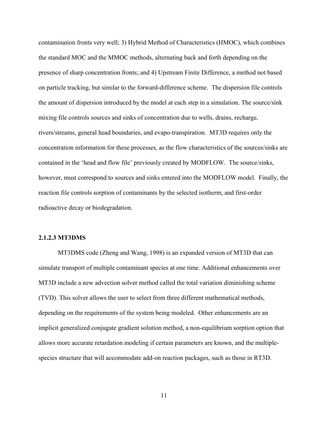contamination fronts very well; 3) Hybrid Method of Characteristics (HMOC), which combines the standard MOC and the MMOC methods, alternating back and forth depending on the presence of sharp concentration fronts; and 4) Upstream Finite Difference, a method not based on particle tracking, but similar to the forward-difference scheme. The dispersion file controls the amount of dispersion introduced by the model at each step in a simulation. The source/sink mixing file controls sources and sinks of concentration due to wells, drains, recharge, rivers/streams, general head boundaries, and evapo-transpiration. MT3D requires only the concentration information for these processes, as the flow characteristics of the sources/sinks are contained in the 'head and flow file' previously created by MODFLOW. The source/sinks, however, must correspond to sources and sinks entered into the MODFLOW model. Finally, the reaction file controls sorption of contaminants by the selected isotherm, and first-order radioactive decay or biodegradation.

#### **2.1.2.3 MT3DMS**

MT3DMS code (Zheng and Wang, 1998) is an expanded version of MT3D that can simulate transport of multiple contaminant species at one time. Additional enhancements over MT3D include a new advection solver method called the total variation diminishing scheme (TVD). This solver allows the user to select from three different mathematical methods, depending on the requirements of the system being modeled. Other enhancements are an implicit generalized conjugate gradient solution method, a non-equilibrium sorption option that allows more accurate retardation modeling if certain parameters are known, and the multiplespecies structure that will accommodate add-on reaction packages, such as those in RT3D.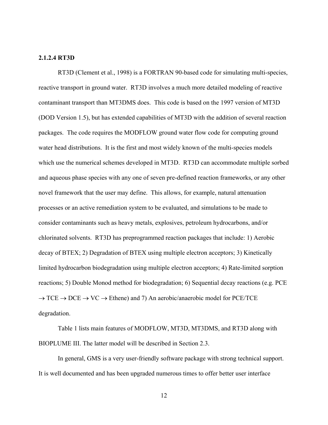#### **2.1.2.4 RT3D**

RT3D (Clement et al., 1998) is a FORTRAN 90-based code for simulating multi-species, reactive transport in ground water. RT3D involves a much more detailed modeling of reactive contaminant transport than MT3DMS does. This code is based on the 1997 version of MT3D (DOD Version 1.5), but has extended capabilities of MT3D with the addition of several reaction packages. The code requires the MODFLOW ground water flow code for computing ground water head distributions. It is the first and most widely known of the multi-species models which use the numerical schemes developed in MT3D. RT3D can accommodate multiple sorbed and aqueous phase species with any one of seven pre-defined reaction frameworks, or any other novel framework that the user may define. This allows, for example, natural attenuation processes or an active remediation system to be evaluated, and simulations to be made to consider contaminants such as heavy metals, explosives, petroleum hydrocarbons, and/or chlorinated solvents. RT3D has preprogrammed reaction packages that include: 1) Aerobic decay of BTEX; 2) Degradation of BTEX using multiple electron acceptors; 3) Kinetically limited hydrocarbon biodegradation using multiple electron acceptors; 4) Rate-limited sorption reactions; 5) Double Monod method for biodegradation; 6) Sequential decay reactions (e.g. PCE  $\rightarrow$  TCE  $\rightarrow$  DCE  $\rightarrow$  VC  $\rightarrow$  Ethene) and 7) An aerobic/anaerobic model for PCE/TCE degradation.

Table 1 lists main features of MODFLOW, MT3D, MT3DMS, and RT3D along with BIOPLUME III. The latter model will be described in Section 2.3.

In general, GMS is a very user-friendly software package with strong technical support. It is well documented and has been upgraded numerous times to offer better user interface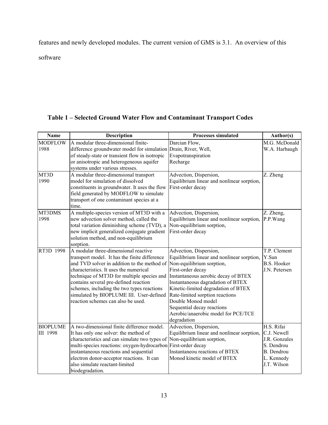features and newly developed modules. The current version of GMS is 3.1. An overview of this

software

# **Table 1 – Selected Ground Water Flow and Contaminant Transport Codes**

| <b>Name</b>     | Description                                                                                                     | <b>Processes simulated</b>                 | Author(s)                   |
|-----------------|-----------------------------------------------------------------------------------------------------------------|--------------------------------------------|-----------------------------|
| <b>MODFLOW</b>  | A modular three-dimensional finite-                                                                             | Darcian Flow,                              | M.G. McDonald               |
| 1988            | difference groundwater model for simulation Drain, River, Well,                                                 |                                            | W.A. Harbaugh               |
|                 | of steady-state or transient flow in isotropic                                                                  | Evapotranspiration                         |                             |
|                 | or anisotropic and heterogeneous aquifer                                                                        | Recharge                                   |                             |
|                 | systems under various stresses.                                                                                 |                                            |                             |
| MT3D            | A modular three-dimensional transport                                                                           | Advection, Dispersion,                     | Z. Zheng                    |
| 1990            | model for simulation of dissolved                                                                               | Equilibrium linear and nonlinear sorption, |                             |
|                 | constituents in groundwater. It uses the flow                                                                   | First-order decay                          |                             |
|                 | field generated by MODFLOW to simulate                                                                          |                                            |                             |
|                 | transport of one contaminant species at a                                                                       |                                            |                             |
|                 | time.                                                                                                           |                                            |                             |
| MT3DMS          | A multiple-species version of MT3D with a                                                                       | Advection, Dispersion,                     | Z. Zheng,                   |
| 1998            | new advection solver method, called the                                                                         | Equilibrium linear and nonlinear sorption, | P.P.Wang                    |
|                 | total variation diminishing scheme (TVD), a                                                                     | Non-equilibrium sorption,                  |                             |
|                 | new implicit generalized conjugate gradient                                                                     | First-order decay                          |                             |
|                 | solution method, and non-equilibrium                                                                            |                                            |                             |
|                 | sorption.                                                                                                       |                                            |                             |
| RT3D 1998       | A modular three-dimensional reactive                                                                            | Advection, Dispersion,                     | T.P. Clement                |
|                 | transport model. It has the finite difference                                                                   | Equilibrium linear and nonlinear sorption, | Y.Sun<br><b>B.S. Hooker</b> |
|                 | and TVD solver in addition to the method of Non-equilibrium sorption,<br>characteristics. It uses the numerical | First-order decay                          | J.N. Petersen               |
|                 | technique of MT3D for multiple species and                                                                      | Instantaneous aerobic decay of BTEX        |                             |
|                 | contains several pre-defined reaction                                                                           | Instantaneous dagradation of BTEX          |                             |
|                 | schemes, including the two types reactions                                                                      | Kinetic-limited degradation of BTEX        |                             |
|                 | simulated by BIOPLUME III. User-defined                                                                         | Rate-limited sorption reactions            |                             |
|                 | reaction schemes can also be used.                                                                              | Double Monod model                         |                             |
|                 |                                                                                                                 | Sequential decay reactions                 |                             |
|                 |                                                                                                                 | Aerobic/anaerobic model for PCE/TCE        |                             |
|                 |                                                                                                                 | degradation                                |                             |
| <b>BIOPLUME</b> | A two-dimensional finite difference model.                                                                      | Advection, Dispersion,                     | H.S. Rifai                  |
| III 1998        | It has only one solver: the method of                                                                           | Equilibrium linear and nonlinear sorption, | C.J. Newell                 |
|                 | characteristics and can simulate two types of                                                                   | Non-equilibrium sorption,                  | J.R. Gonzales               |
|                 | multi-species reactions: oxygen-hydrocarbon First-order decay                                                   |                                            | S. Dendrou                  |
|                 | instantaneous reactions and sequential                                                                          | Instantaneou reactions of BTEX             | <b>B.</b> Dendrou           |
|                 | electron donor-acceptor reactions. It can                                                                       | Monod kinetic model of BTEX                | L. Kennedy                  |
|                 | also simulate reactant-limited                                                                                  |                                            | J.T. Wilson                 |
|                 | biodegradation.                                                                                                 |                                            |                             |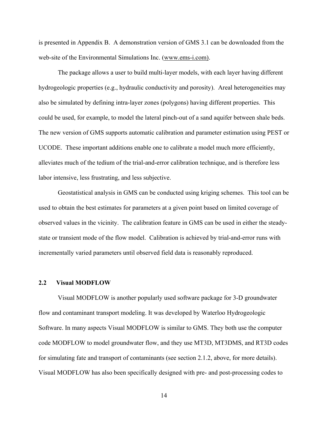is presented in Appendix B. A demonstration version of GMS 3.1 can be downloaded from the web-site of the Environmental Simulations Inc. (www.ems-i.com).

The package allows a user to build multi-layer models, with each layer having different hydrogeologic properties (e.g., hydraulic conductivity and porosity). Areal heterogeneities may also be simulated by defining intra-layer zones (polygons) having different properties. This could be used, for example, to model the lateral pinch-out of a sand aquifer between shale beds. The new version of GMS supports automatic calibration and parameter estimation using PEST or UCODE. These important additions enable one to calibrate a model much more efficiently, alleviates much of the tedium of the trial-and-error calibration technique, and is therefore less labor intensive, less frustrating, and less subjective.

Geostatistical analysis in GMS can be conducted using kriging schemes. This tool can be used to obtain the best estimates for parameters at a given point based on limited coverage of observed values in the vicinity. The calibration feature in GMS can be used in either the steadystate or transient mode of the flow model. Calibration is achieved by trial-and-error runs with incrementally varied parameters until observed field data is reasonably reproduced.

#### **2.2 Visual MODFLOW**

Visual MODFLOW is another popularly used software package for 3-D groundwater flow and contaminant transport modeling. It was developed by Waterloo Hydrogeologic Software. In many aspects Visual MODFLOW is similar to GMS. They both use the computer code MODFLOW to model groundwater flow, and they use MT3D, MT3DMS, and RT3D codes for simulating fate and transport of contaminants (see section 2.1.2, above, for more details). Visual MODFLOW has also been specifically designed with pre- and post-processing codes to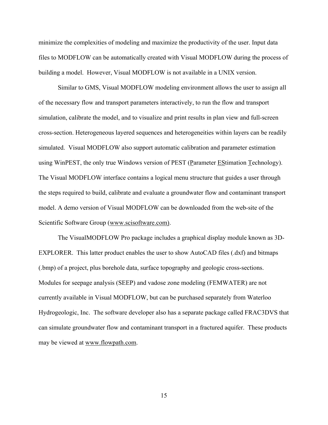minimize the complexities of modeling and maximize the productivity of the user. Input data files to MODFLOW can be automatically created with Visual MODFLOW during the process of building a model. However, Visual MODFLOW is not available in a UNIX version.

Similar to GMS, Visual MODFLOW modeling environment allows the user to assign all of the necessary flow and transport parameters interactively, to run the flow and transport simulation, calibrate the model, and to visualize and print results in plan view and full-screen cross-section. Heterogeneous layered sequences and heterogeneities within layers can be readily simulated. Visual MODFLOW also support automatic calibration and parameter estimation using WinPEST, the only true Windows version of PEST (Parameter EStimation Technology). The Visual MODFLOW interface contains a logical menu structure that guides a user through the steps required to build, calibrate and evaluate a groundwater flow and contaminant transport model. A demo version of Visual MODFLOW can be downloaded from the web-site of the Scientific Software Group (www.scisoftware.com).

The VisualMODFLOW Pro package includes a graphical display module known as 3D-EXPLORER. This latter product enables the user to show AutoCAD files (.dxf) and bitmaps (.bmp) of a project, plus borehole data, surface topography and geologic cross-sections. Modules for seepage analysis (SEEP) and vadose zone modeling (FEMWATER) are not currently available in Visual MODFLOW, but can be purchased separately from Waterloo Hydrogeologic, Inc. The software developer also has a separate package called FRAC3DVS that can simulate groundwater flow and contaminant transport in a fractured aquifer. These products may be viewed at www.flowpath.com.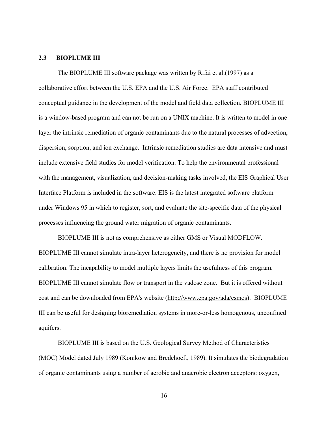#### **2.3 BIOPLUME III**

The BIOPLUME III software package was written by Rifai et al.(1997) as a collaborative effort between the U.S. EPA and the U.S. Air Force. EPA staff contributed conceptual guidance in the development of the model and field data collection. BIOPLUME III is a window-based program and can not be run on a UNIX machine. It is written to model in one layer the intrinsic remediation of organic contaminants due to the natural processes of advection, dispersion, sorption, and ion exchange. Intrinsic remediation studies are data intensive and must include extensive field studies for model verification. To help the environmental professional with the management, visualization, and decision-making tasks involved, the EIS Graphical User Interface Platform is included in the software. EIS is the latest integrated software platform under Windows 95 in which to register, sort, and evaluate the site-specific data of the physical processes influencing the ground water migration of organic contaminants.

BIOPLUME III is not as comprehensive as either GMS or Visual MODFLOW. BIOPLUME III cannot simulate intra-layer heterogeneity, and there is no provision for model calibration. The incapability to model multiple layers limits the usefulness of this program. BIOPLUME III cannot simulate flow or transport in the vadose zone. But it is offered without cost and can be downloaded from EPA's website (http://www.epa.gov/ada/csmos). BIOPLUME III can be useful for designing bioremediation systems in more-or-less homogenous, unconfined aquifers.

BIOPLUME III is based on the U.S. Geological Survey Method of Characteristics (MOC) Model dated July 1989 (Konikow and Bredehoeft, 1989). It simulates the biodegradation of organic contaminants using a number of aerobic and anaerobic electron acceptors: oxygen,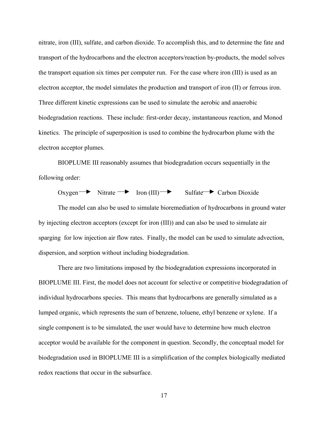nitrate, iron (III), sulfate, and carbon dioxide. To accomplish this, and to determine the fate and transport of the hydrocarbons and the electron acceptors/reaction by-products, the model solves the transport equation six times per computer run. For the case where iron (III) is used as an electron acceptor, the model simulates the production and transport of iron (II) or ferrous iron. Three different kinetic expressions can be used to simulate the aerobic and anaerobic biodegradation reactions. These include: first-order decay, instantaneous reaction, and Monod kinetics. The principle of superposition is used to combine the hydrocarbon plume with the electron acceptor plumes.

BIOPLUME III reasonably assumes that biodegradation occurs sequentially in the following order:

 $Oxygen \rightarrow Nitrate \rightarrow Iron (III) \rightarrow Sulfate \rightarrow Carbon Dioxide$ 

The model can also be used to simulate bioremediation of hydrocarbons in ground water by injecting electron acceptors (except for iron (III)) and can also be used to simulate air sparging for low injection air flow rates. Finally, the model can be used to simulate advection, dispersion, and sorption without including biodegradation.

There are two limitations imposed by the biodegradation expressions incorporated in BIOPLUME III. First, the model does not account for selective or competitive biodegradation of individual hydrocarbons species. This means that hydrocarbons are generally simulated as a lumped organic, which represents the sum of benzene, toluene, ethyl benzene or xylene. If a single component is to be simulated, the user would have to determine how much electron acceptor would be available for the component in question. Secondly, the conceptual model for biodegradation used in BIOPLUME III is a simplification of the complex biologically mediated redox reactions that occur in the subsurface.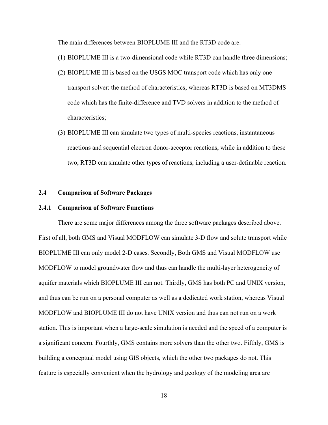The main differences between BIOPLUME III and the RT3D code are:

- (1) BIOPLUME III is a two-dimensional code while RT3D can handle three dimensions;
- (2) BIOPLUME III is based on the USGS MOC transport code which has only one transport solver: the method of characteristics; whereas RT3D is based on MT3DMS code which has the finite-difference and TVD solvers in addition to the method of characteristics;
- (3) BIOPLUME III can simulate two types of multi-species reactions, instantaneous reactions and sequential electron donor-acceptor reactions, while in addition to these two, RT3D can simulate other types of reactions, including a user-definable reaction.

### **2.4 Comparison of Software Packages**

#### **2.4.1 Comparison of Software Functions**

There are some major differences among the three software packages described above. First of all, both GMS and Visual MODFLOW can simulate 3-D flow and solute transport while BIOPLUME III can only model 2-D cases. Secondly, Both GMS and Visual MODFLOW use MODFLOW to model groundwater flow and thus can handle the multi-layer heterogeneity of aquifer materials which BIOPLUME III can not. Thirdly, GMS has both PC and UNIX version, and thus can be run on a personal computer as well as a dedicated work station, whereas Visual MODFLOW and BIOPLUME III do not have UNIX version and thus can not run on a work station. This is important when a large-scale simulation is needed and the speed of a computer is a significant concern. Fourthly, GMS contains more solvers than the other two. Fifthly, GMS is building a conceptual model using GIS objects, which the other two packages do not. This feature is especially convenient when the hydrology and geology of the modeling area are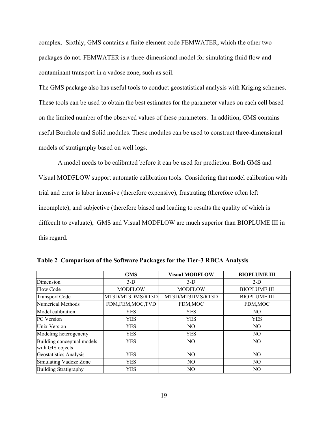complex. Sixthly, GMS contains a finite element code FEMWATER, which the other two packages do not. FEMWATER is a three-dimensional model for simulating fluid flow and contaminant transport in a vadose zone, such as soil.

The GMS package also has useful tools to conduct geostatistical analysis with Kriging schemes. These tools can be used to obtain the best estimates for the parameter values on each cell based on the limited number of the observed values of these parameters. In addition, GMS contains useful Borehole and Solid modules. These modules can be used to construct three-dimensional models of stratigraphy based on well logs.

A model needs to be calibrated before it can be used for prediction. Both GMS and Visual MODFLOW support automatic calibration tools. Considering that model calibration with trial and error is labor intensive (therefore expensive), frustrating (therefore often left incomplete), and subjective (therefore biased and leading to results the quality of which is diffecult to evaluate), GMS and Visual MODFLOW are much superior than BIOPLUME III in this regard.

|                                                | <b>GMS</b>       | <b>Visual MODFLOW</b> | <b>BIOPLUME III</b> |
|------------------------------------------------|------------------|-----------------------|---------------------|
| Dimension                                      | $3-D$            | $3-D$                 | $2-D$               |
| Flow Code                                      | <b>MODFLOW</b>   | <b>MODFLOW</b>        | <b>BIOPLUME III</b> |
| <b>Transport Code</b>                          | MT3D/MT3DMS/RT3D | MT3D/MT3DMS/RT3D      | <b>BIOPLUME III</b> |
| Numerical Methods                              | FDM,FEM,MOC,TVD  | FDM, MOC              | FDM, MOC            |
| Model calibration                              | <b>YES</b>       | <b>YES</b>            | NO.                 |
| <b>PC</b> Version                              | <b>YES</b>       | <b>YES</b>            | <b>YES</b>          |
| Unix Version                                   | <b>YES</b>       | NO.                   | NO.                 |
| Modeling heterogeneity                         | <b>YES</b>       | <b>YES</b>            | NO.                 |
| Building conceptual models<br>with GIS objects | <b>YES</b>       | N <sub>O</sub>        | N <sub>O</sub>      |
| Geostatistics Analysis                         | <b>YES</b>       | NO.                   | NO.                 |
| Simulating Vadoze Zone                         | <b>YES</b>       | NO.                   | NO.                 |
| <b>Building Stratigraphy</b>                   | <b>YES</b>       | N <sub>O</sub>        | NO.                 |

**Table 2 Comparison of the Software Packages for the Tier-3 RBCA Analysis**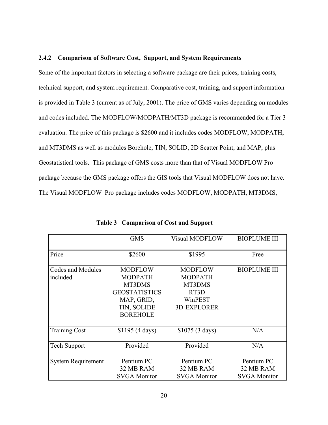#### **2.4.2 Comparison of Software Cost, Support, and System Requirements**

Some of the important factors in selecting a software package are their prices, training costs, technical support, and system requirement. Comparative cost, training, and support information is provided in Table 3 (current as of July, 2001). The price of GMS varies depending on modules and codes included. The MODFLOW/MODPATH/MT3D package is recommended for a Tier 3 evaluation. The price of this package is \$2600 and it includes codes MODFLOW, MODPATH, and MT3DMS as well as modules Borehole, TIN, SOLID, 2D Scatter Point, and MAP, plus Geostatistical tools. This package of GMS costs more than that of Visual MODFLOW Pro package because the GMS package offers the GIS tools that Visual MODFLOW does not have. The Visual MODFLOW Pro package includes codes MODFLOW, MODPATH, MT3DMS,

|                               | <b>GMS</b>                                                                                                         | <b>Visual MODFLOW</b>                                                               | <b>BIOPLUME III</b>                            |
|-------------------------------|--------------------------------------------------------------------------------------------------------------------|-------------------------------------------------------------------------------------|------------------------------------------------|
| Price                         | \$2600                                                                                                             | \$1995                                                                              | Free                                           |
| Codes and Modules<br>included | <b>MODFLOW</b><br><b>MODPATH</b><br>MT3DMS<br><b>GEOSTATISTICS</b><br>MAP, GRID,<br>TIN, SOLIDE<br><b>BOREHOLE</b> | <b>MODFLOW</b><br><b>MODPATH</b><br>MT3DMS<br>RT3D<br>WinPEST<br><b>3D-EXPLORER</b> | <b>BIOPLUME III</b>                            |
| <b>Training Cost</b>          | \$1195 (4 days)                                                                                                    | \$1075 (3 days)                                                                     | N/A                                            |
| <b>Tech Support</b>           | Provided                                                                                                           | Provided                                                                            | N/A                                            |
| <b>System Requirement</b>     | Pentium PC<br>32 MB RAM<br><b>SVGA Monitor</b>                                                                     | Pentium PC<br>32 MB RAM<br><b>SVGA Monitor</b>                                      | Pentium PC<br>32 MB RAM<br><b>SVGA Monitor</b> |

**Table 3 Comparison of Cost and Support**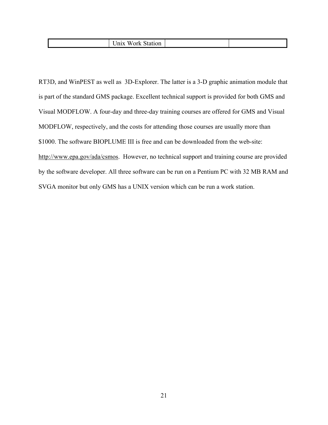|  |  | $-1$<br>W<br>UП |  |  |
|--|--|-----------------|--|--|
|--|--|-----------------|--|--|

RT3D, and WinPEST as well as 3D-Explorer. The latter is a 3-D graphic animation module that is part of the standard GMS package. Excellent technical support is provided for both GMS and Visual MODFLOW. A four-day and three-day training courses are offered for GMS and Visual MODFLOW, respectively, and the costs for attending those courses are usually more than \$1000. The software BIOPLUME III is free and can be downloaded from the web-site: http://www.epa.gov/ada/csmos. However, no technical support and training course are provided by the software developer. All three software can be run on a Pentium PC with 32 MB RAM and SVGA monitor but only GMS has a UNIX version which can be run a work station.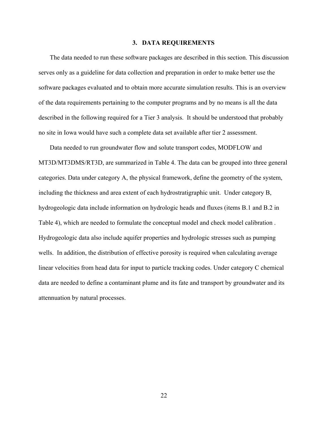#### **3. DATA REQUIREMENTS**

The data needed to run these software packages are described in this section. This discussion serves only as a guideline for data collection and preparation in order to make better use the software packages evaluated and to obtain more accurate simulation results. This is an overview of the data requirements pertaining to the computer programs and by no means is all the data described in the following required for a Tier 3 analysis. It should be understood that probably no site in Iowa would have such a complete data set available after tier 2 assessment.

Data needed to run groundwater flow and solute transport codes, MODFLOW and MT3D/MT3DMS/RT3D, are summarized in Table 4. The data can be grouped into three general categories. Data under category A, the physical framework, define the geometry of the system, including the thickness and area extent of each hydrostratigraphic unit. Under category B, hydrogeologic data include information on hydrologic heads and fluxes (items B.1 and B.2 in Table 4), which are needed to formulate the conceptual model and check model calibration . Hydrogeologic data also include aquifer properties and hydrologic stresses such as pumping wells. In addition, the distribution of effective porosity is required when calculating average linear velocities from head data for input to particle tracking codes. Under category C chemical data are needed to define a contaminant plume and its fate and transport by groundwater and its attennuation by natural processes.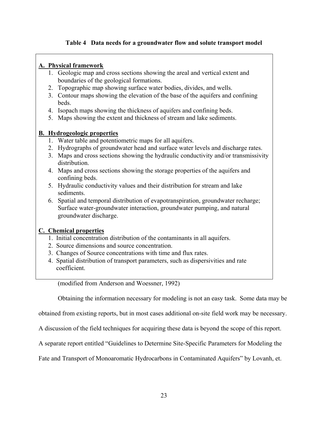# **Table 4 Data needs for a groundwater flow and solute transport model**

# **A. Physical framework**

- 1. Geologic map and cross sections showing the areal and vertical extent and boundaries of the geological formations.
- 2. Topographic map showing surface water bodies, divides, and wells.
- 3. Contour maps showing the elevation of the base of the aquifers and confining beds.
- 4. Isopach maps showing the thickness of aquifers and confining beds.
- 5. Maps showing the extent and thickness of stream and lake sediments.

# **B. Hydrogeologic properties**

- 1. Water table and potentiometric maps for all aquifers.
- 2. Hydrographs of groundwater head and surface water levels and discharge rates.
- 3. Maps and cross sections showing the hydraulic conductivity and/or transmissivity distribution.
- 4. Maps and cross sections showing the storage properties of the aquifers and confining beds.
- 5. Hydraulic conductivity values and their distribution for stream and lake sediments.
- 6. Spatial and temporal distribution of evapotranspiration, groundwater recharge; Surface water-groundwater interaction, groundwater pumping, and natural groundwater discharge.

## **C. Chemical properties**

- 1. Initial concentration distribution of the contaminants in all aquifers.
- 2. Source dimensions and source concentration.
- 3. Changes of Source concentrations with time and flux rates.
- 4. Spatial distribution of transport parameters, such as dispersivities and rate coefficient.

(modified from Anderson and Woessner, 1992)

Obtaining the information necessary for modeling is not an easy task. Some data may be

obtained from existing reports, but in most cases additional on-site field work may be necessary.

A discussion of the field techniques for acquiring these data is beyond the scope of this report.

A separate report entitled "Guidelines to Determine Site-Specific Parameters for Modeling the

Fate and Transport of Monoaromatic Hydrocarbons in Contaminated Aquifers" by Lovanh, et.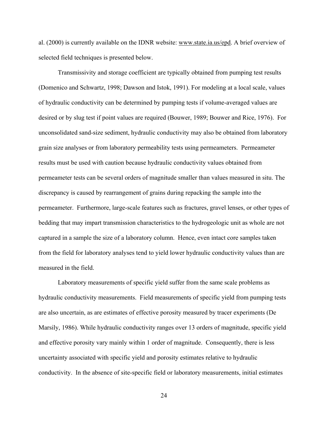al. (2000) is currently available on the IDNR website: www.state.ia.us/epd. A brief overview of selected field techniques is presented below.

Transmissivity and storage coefficient are typically obtained from pumping test results (Domenico and Schwartz, 1998; Dawson and Istok, 1991). For modeling at a local scale, values of hydraulic conductivity can be determined by pumping tests if volume-averaged values are desired or by slug test if point values are required (Bouwer, 1989; Bouwer and Rice, 1976). For unconsolidated sand-size sediment, hydraulic conductivity may also be obtained from laboratory grain size analyses or from laboratory permeability tests using permeameters. Permeameter results must be used with caution because hydraulic conductivity values obtained from permeameter tests can be several orders of magnitude smaller than values measured in situ. The discrepancy is caused by rearrangement of grains during repacking the sample into the permeameter. Furthermore, large-scale features such as fractures, gravel lenses, or other types of bedding that may impart transmission characteristics to the hydrogeologic unit as whole are not captured in a sample the size of a laboratory column. Hence, even intact core samples taken from the field for laboratory analyses tend to yield lower hydraulic conductivity values than are measured in the field.

Laboratory measurements of specific yield suffer from the same scale problems as hydraulic conductivity measurements. Field measurements of specific yield from pumping tests are also uncertain, as are estimates of effective porosity measured by tracer experiments (De Marsily, 1986). While hydraulic conductivity ranges over 13 orders of magnitude, specific yield and effective porosity vary mainly within 1 order of magnitude. Consequently, there is less uncertainty associated with specific yield and porosity estimates relative to hydraulic conductivity. In the absence of site-specific field or laboratory measurements, initial estimates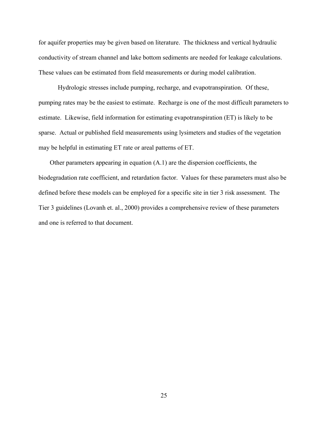for aquifer properties may be given based on literature. The thickness and vertical hydraulic conductivity of stream channel and lake bottom sediments are needed for leakage calculations. These values can be estimated from field measurements or during model calibration.

Hydrologic stresses include pumping, recharge, and evapotranspiration. Of these, pumping rates may be the easiest to estimate. Recharge is one of the most difficult parameters to estimate. Likewise, field information for estimating evapotranspiration (ET) is likely to be sparse. Actual or published field measurements using lysimeters and studies of the vegetation may be helpful in estimating ET rate or areal patterns of ET.

Other parameters appearing in equation (A.1) are the dispersion coefficients, the biodegradation rate coefficient, and retardation factor. Values for these parameters must also be defined before these models can be employed for a specific site in tier 3 risk assessment. The Tier 3 guidelines (Lovanh et. al., 2000) provides a comprehensive review of these parameters and one is referred to that document.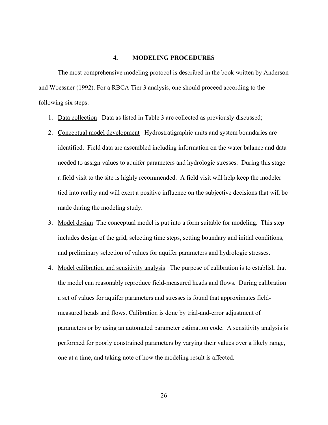#### **4. MODELING PROCEDURES**

The most comprehensive modeling protocol is described in the book written by Anderson and Woessner (1992). For a RBCA Tier 3 analysis, one should proceed according to the following six steps:

- 1. Data collection Data as listed in Table 3 are collected as previously discussed;
- 2. Conceptual model development Hydrostratigraphic units and system boundaries are identified. Field data are assembled including information on the water balance and data needed to assign values to aquifer parameters and hydrologic stresses. During this stage a field visit to the site is highly recommended. A field visit will help keep the modeler tied into reality and will exert a positive influence on the subjective decisions that will be made during the modeling study.
- 3. Model design The conceptual model is put into a form suitable for modeling. This step includes design of the grid, selecting time steps, setting boundary and initial conditions, and preliminary selection of values for aquifer parameters and hydrologic stresses.
- 4. Model calibration and sensitivity analysis The purpose of calibration is to establish that the model can reasonably reproduce field-measured heads and flows. During calibration a set of values for aquifer parameters and stresses is found that approximates fieldmeasured heads and flows. Calibration is done by trial-and-error adjustment of parameters or by using an automated parameter estimation code. A sensitivity analysis is performed for poorly constrained parameters by varying their values over a likely range, one at a time, and taking note of how the modeling result is affected.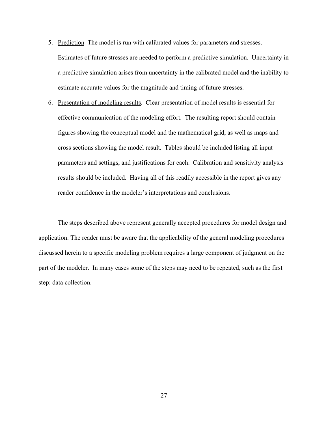- 5. Prediction The model is run with calibrated values for parameters and stresses. Estimates of future stresses are needed to perform a predictive simulation. Uncertainty in a predictive simulation arises from uncertainty in the calibrated model and the inability to estimate accurate values for the magnitude and timing of future stresses.
- 6. Presentation of modeling results. Clear presentation of model results is essential for effective communication of the modeling effort. The resulting report should contain figures showing the conceptual model and the mathematical grid, as well as maps and cross sections showing the model result. Tables should be included listing all input parameters and settings, and justifications for each. Calibration and sensitivity analysis results should be included. Having all of this readily accessible in the report gives any reader confidence in the modeler's interpretations and conclusions.

The steps described above represent generally accepted procedures for model design and application. The reader must be aware that the applicability of the general modeling procedures discussed herein to a specific modeling problem requires a large component of judgment on the part of the modeler. In many cases some of the steps may need to be repeated, such as the first step: data collection.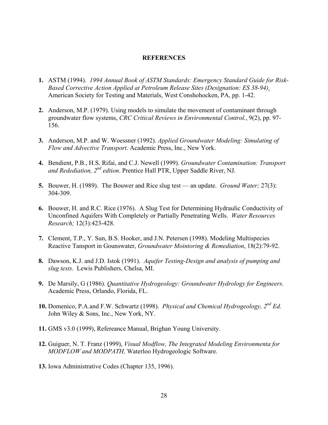#### **REFERENCES**

- **1.** ASTM (1994). *1994 Annual Book of ASTM Standards: Emergency Standard Guide for Risk-Based Corrective Action Applied at Petroleum Release Sites (Designation: ES 38-94)*. American Society for Testing and Materials, West Conshohocken, PA, pp. 1-42.
- **2.** Anderson, M.P. (1979). Using models to simulate the movement of contaminant through groundwater flow systems, *CRC Critical Reviews in Environmental Control.*, 9(2), pp. 97- 156.
- **3.** Anderson, M.P. and W. Woessner (1992). *Applied Groundwater Modeling: Simulating of Flow and Advective Transport*. Academic Press, Inc., New York.
- **4.** Bendient, P.B., H.S. Rifai, and C.J. Newell (1999). *Groundwater Contamination: Transport and Redediation, 2nd edtion*. Prentice Hall PTR, Upper Saddle River, NJ.
- **5.** Bouwer, H. (1989). The Bouwer and Rice slug test an update. *Ground Water;* 27(3): 304-309.
- **6.** Bouwer, H. and R.C. Rice (1976). A Slug Test for Determining Hydraulic Conductivity of Unconfined Aquifers With Completely or Partially Penetrating Wells. *Water Resources Research;* 12(3):423-428.
- **7.** Clement, T.P., Y. Sun, B.S. Hooker, and J.N. Petersen (1998). Modeling Multispecies Reactive Tansport in Gounswater, *Groundwater Mointoring & Remediation*, 18(2):79-92.
- **8.** Dawson, K.J. and J.D. Istok (1991). *Aquifer Testing-Design and analysis of pumping and slug tests*. Lewis Publishers, Chelsa, MI.
- **9.** De Marsily, G (1986). *Quantitative Hydrogeology: Groundwater Hydrology for Engineers*. Academic Press, Orlando, Florida, FL.
- **10.** Domenico, P.A.and F.W. Schwartz (1998). *Physical and Chemical Hydrogeology, 2nd Ed.* John Wiley & Sons, Inc., New York, NY.
- **11.** GMS v3.0 (1999), Refereance Manual, Brighan Young University.
- **12.** Guiguer, N. T. Franz (1999), *Visual Modflow, The Integrated Modeling Environmenta for MODFLOW and MODPATH,* Waterloo Hydrogeologic Software.
- **13.** Iowa Administrative Codes (Chapter 135, 1996).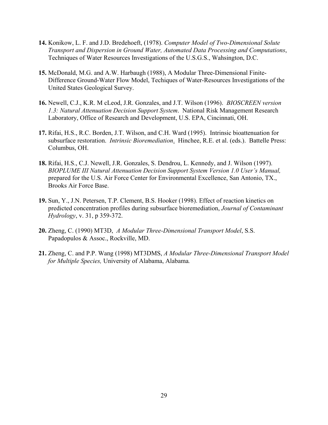- **14.** Konikow, L. F. and J.D. Bredehoeft, (1978). *Computer Model of Two-Dimensional Solute Transport and Dispersion in Ground Water, Automated Data Processing and Computations*, Techniques of Water Resources Investigations of the U.S.G.S., Wahsington, D.C.
- **15.** McDonald, M.G. and A.W. Harbaugh (1988), A Modular Three-Dimensional Finite-Difference Ground-Water Flow Model, Techiques of Water-Resources Investigations of the United States Geological Survey.
- **16.** Newell, C.J., K.R. M cLeod, J.R. Gonzales, and J.T. Wilson (1996). *BIOSCREEN version 1.3: Natural Attenuation Decision Support System*. National Risk Management Research Laboratory, Office of Research and Development, U.S. EPA, Cincinnati, OH.
- **17.** Rifai, H.S., R.C. Borden, J.T. Wilson, and C.H. Ward (1995). Intrinsic bioattenuation for subsurface restoration. *Intrinsic Bioremediation*. Hinchee, R.E. et al. (eds.). Battelle Press: Columbus, OH.
- **18.** Rifai, H.S., C.J. Newell, J.R. Gonzales, S. Dendrou, L. Kennedy, and J. Wilson (1997). *BIOPLUME III Natural Attenuation Decision Support System Version 1.0 User's Manual,* prepared for the U.S. Air Force Center for Environmental Excellence, San Antonio, TX., Brooks Air Force Base.
- **19.** Sun, Y., J.N. Petersen, T.P. Clement, B.S. Hooker (1998). Effect of reaction kinetics on predicted concentration profiles during subsurface bioremediation, *Journal of Contaminant Hydrology*, v. 31, p 359-372.
- **20.** Zheng, C. (1990) MT3D, *A Modular Three-Dimensional Transport Model*, S.S. Papadopulos & Assoc., Rockville, MD.
- **21.** Zheng, C. and P.P. Wang (1998) MT3DMS, *A Modular Three-Dimensional Transport Model for Multiple Species,* University of Alabama, Alabama*.*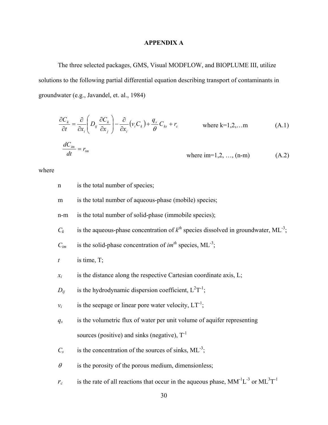# **APPENDIX A**

The three selected packages, GMS, Visual MODFLOW, and BIOPLUME III, utilize solutions to the following partial differential equation describing transport of contaminants in groundwater (e.g., Javandel, et. al., 1984)

$$
\frac{\partial C_k}{\partial t} = \frac{\partial}{\partial x_i} \left( D_{ij} \frac{\partial C_k}{\partial x_j} \right) - \frac{\partial}{\partial x_i} (v_i C_k) + \frac{q_s}{\theta} C_{ks} + r_c \quad \text{where k=1,2,...m} \quad (A.1)
$$
\n
$$
\frac{dC_{im}}{dt} = r_{im} \quad \text{where im=1,2,..., (n-m)} \quad (A.2)
$$

where

| $\mathbf n$      | is the total number of species;                                                                     |
|------------------|-----------------------------------------------------------------------------------------------------|
| ${\bf m}$        | is the total number of aqueous-phase (mobile) species;                                              |
| $n-m$            | is the total number of solid-phase (immobile species);                                              |
| $C_k$            | is the aqueous-phase concentration of $k^{th}$ species dissolved in groundwater, ML <sup>-3</sup> ; |
| $C_{im}$         | is the solid-phase concentration of $im^{th}$ species, ML <sup>-3</sup> ;                           |
| $\boldsymbol{t}$ | is time, $T$ ;                                                                                      |
| $x_i$            | is the distance along the respective Cartesian coordinate axis, L;                                  |
| $D_{ij}$         | is the hydrodynamic dispersion coefficient, $L^2T^{-1}$ ;                                           |
| $v_i$            | is the seepage or linear pore water velocity, $LT^{-1}$ ;                                           |
| $q_s$            | is the volumetric flux of water per unit volume of aquifer representing                             |
|                  | sources (positive) and sinks (negative), $T^{-1}$                                                   |
| $C_{s}$          | is the concentration of the sources of sinks, $ML^{-3}$ ;                                           |
| $\theta$         | is the porosity of the porous medium, dimensionless;                                                |
| $r_c$            | is the rate of all reactions that occur in the aqueous phase, $MM^{-1}L^{-3}$ or $ML^{3}T^{-1}$     |
|                  | 30                                                                                                  |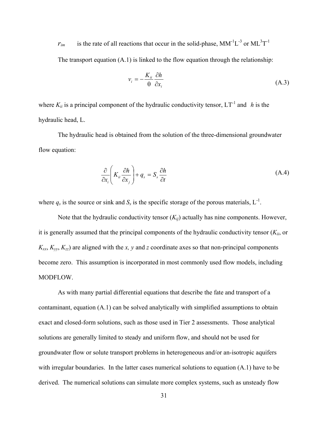$r_{im}$  is the rate of all reactions that occur in the solid-phase,  $MM^{-1}L^{-3}$  or  $ML^{3}T^{-1}$ The transport equation (A.1) is linked to the flow equation through the relationship:

$$
v_i = -\frac{K_{ii}}{\Theta} \frac{\partial h}{\partial x_i} \tag{A.3}
$$

where  $K_{ii}$  is a principal component of the hydraulic conductivity tensor,  $LT^{-1}$  and *h* is the hydraulic head, L.

The hydraulic head is obtained from the solution of the three-dimensional groundwater flow equation:

$$
\frac{\partial}{\partial x_i} \left( K_{ii} \frac{\partial h}{\partial x_j} \right) + q_s = S_s \frac{\partial h}{\partial t}
$$
\n(A.4)

where  $q_s$  is the source or sink and  $S_s$  is the specific storage of the porous materials,  $L^{-1}$ .

Note that the hydraulic conductivity tensor  $(K_{ij})$  actually has nine components. However, it is generally assumed that the principal components of the hydraulic conductivity tensor  $(K_{ii}, \text{ or})$  $K_{xx}$ ,  $K_{yy}$ ,  $K_{zz}$ ) are aligned with the *x*, *y* and *z* coordinate axes so that non-principal components become zero. This assumption is incorporated in most commonly used flow models, including MODFLOW.

 As with many partial differential equations that describe the fate and transport of a contaminant, equation (A.1) can be solved analytically with simplified assumptions to obtain exact and closed-form solutions, such as those used in Tier 2 assessments. Those analytical solutions are generally limited to steady and uniform flow, and should not be used for groundwater flow or solute transport problems in heterogeneous and/or an-isotropic aquifers with irregular boundaries. In the latter cases numerical solutions to equation  $(A,1)$  have to be derived. The numerical solutions can simulate more complex systems, such as unsteady flow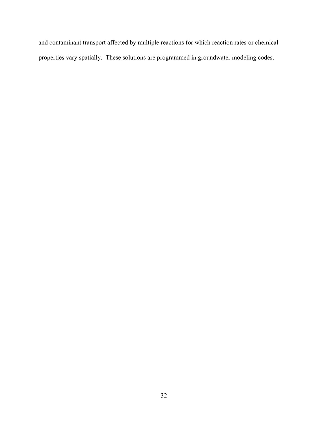and contaminant transport affected by multiple reactions for which reaction rates or chemical properties vary spatially. These solutions are programmed in groundwater modeling codes.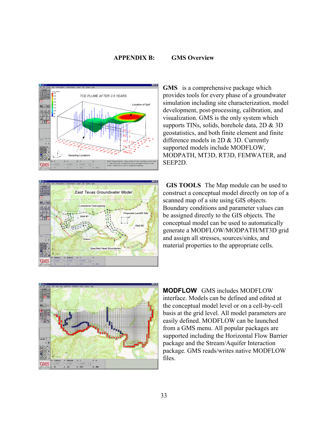#### **APPENDIX B: GMS Overview**





**GMS** is a comprehensive package which provides tools for every phase of a groundwater simulation including site characterization, model development, post-processing, calibration, and visualization. GMS is the only system which supports TINs, solids, borehole data, 2D & 3D geostatistics, and both finite element and finite difference models in 2D & 3D. Currently supported models include MODFLOW, MODPATH, MT3D, RT3D, FEMWATER, and SEEP2D.

 **GIS TOOLS** The Map module can be used to construct a conceptual model directly on top of a scanned map of a site using GIS objects. Boundary conditions and parameter values can be assigned directly to the GIS objects. The conceptual model can be used to automatically generate a MODFLOW/MODPATH/MT3D grid and assign all stresses, sources/sinks, and material properties to the appropriate cells.



**MODFLOW** GMS includes MODFLOW interface. Models can be defined and edited at the conceptual model level or on a cell-by-cell basis at the grid level. All model parameters are easily defined. MODFLOW can be launched from a GMS menu. All popular packages are supported including the Horizontal Flow Barrier package and the Stream/Aquifer Interaction package. GMS reads/writes native MODFLOW files.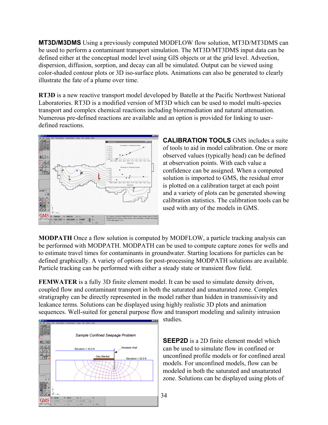**MT3D/M3DMS** Using a previously computed MODFLOW flow solution, MT3D/MT3DMS can be used to perform a contaminant transport simulation. The MT3D/MT3DMS input data can be defined either at the conceptual model level using GIS objects or at the grid level. Advection, dispersion, diffusion, sorption, and decay can all be simulated. Output can be viewed using color-shaded contour plots or 3D iso-surface plots. Animations can also be generated to clearly illustrate the fate of a plume over time.

**RT3D** is a new reactive transport model developed by Batelle at the Pacific Northwest National Laboratories. RT3D is a modified version of MT3D which can be used to model multi-species transport and complex chemical reactions including bioremediation and natural attenuation. Numerous pre-defined reactions are available and an option is provided for linking to userdefined reactions.



**CALIBRATION TOOLS** GMS includes a suite of tools to aid in model calibration. One or more observed values (typically head) can be defined at observation points. With each value a confidence can be assigned. When a computed solution is imported to GMS, the residual error is plotted on a calibration target at each point and a variety of plots can be generated showing calibration statistics. The calibration tools can be used with any of the models in GMS.

**MODPATH** Once a flow solution is computed by MODFLOW, a particle tracking analysis can be performed with MODPATH. MODPATH can be used to compute capture zones for wells and to estimate travel times for contaminants in groundwater. Starting locations for particles can be defined graphically. A variety of options for post-processing MODPATH solutions are available. Particle tracking can be performed with either a steady state or transient flow field.

**FEMWATER** is a fully 3D finite element model. It can be used to simulate density driven, coupled flow and contaminant transport in both the saturated and unsaturated zone. Complex stratigraphy can be directly represented in the model rather than hidden in transmissivity and leakance terms. Solutions can be displayed using highly realistic 3D plots and animation sequences. Well-suited for general purpose flow and transport modeling and salinity intrusion



studies.

**SEEP2D** is a 2D finite element model which can be used to simulate flow in confined or unconfined profile models or for confined areal models. For unconfined models, flow can be modeled in both the saturated and unsaturated zone. Solutions can be displayed using plots of